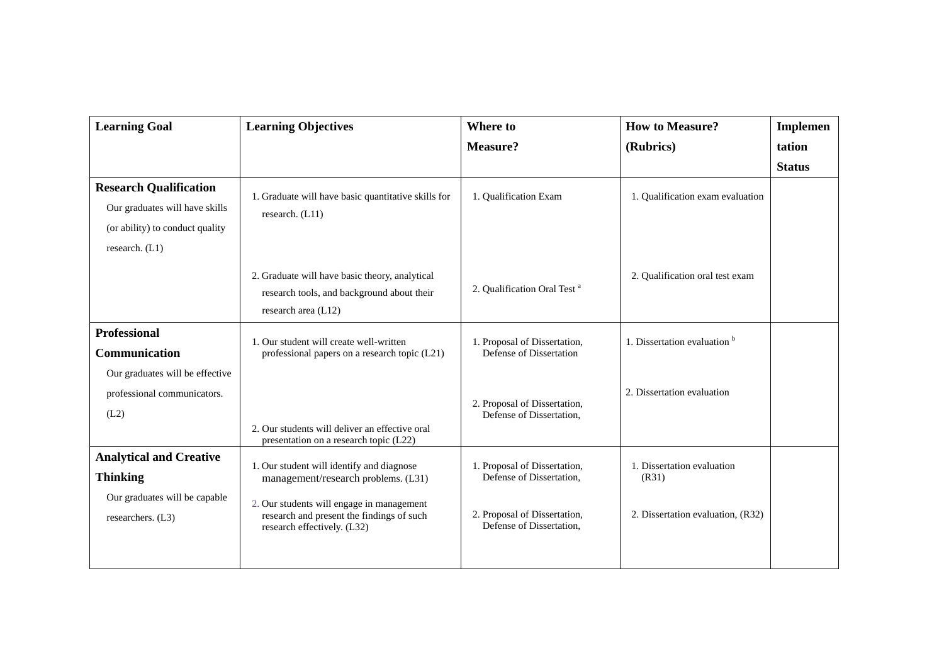| <b>Learning Goal</b>                                                                                                 | <b>Learning Objectives</b>                                                                                                                                                                                | <b>Where to</b>                                                                                                      | <b>How to Measure?</b>                                                   | <b>Implemen</b> |
|----------------------------------------------------------------------------------------------------------------------|-----------------------------------------------------------------------------------------------------------------------------------------------------------------------------------------------------------|----------------------------------------------------------------------------------------------------------------------|--------------------------------------------------------------------------|-----------------|
|                                                                                                                      |                                                                                                                                                                                                           | <b>Measure?</b>                                                                                                      | (Rubrics)                                                                | tation          |
|                                                                                                                      |                                                                                                                                                                                                           |                                                                                                                      |                                                                          | <b>Status</b>   |
| <b>Research Qualification</b><br>Our graduates will have skills<br>(or ability) to conduct quality<br>research. (L1) | 1. Graduate will have basic quantitative skills for<br>research. (L11)                                                                                                                                    | 1. Qualification Exam                                                                                                | 1. Qualification exam evaluation                                         |                 |
|                                                                                                                      | 2. Graduate will have basic theory, analytical<br>research tools, and background about their<br>research area (L12)                                                                                       | 2. Qualification Oral Test <sup>a</sup>                                                                              | 2. Qualification oral test exam                                          |                 |
| <b>Professional</b><br>Communication<br>Our graduates will be effective                                              | 1. Our student will create well-written<br>professional papers on a research topic (L21)                                                                                                                  | 1. Proposal of Dissertation,<br>Defense of Dissertation                                                              | 1. Dissertation evaluation b                                             |                 |
| professional communicators.<br>(L2)                                                                                  | 2. Our students will deliver an effective oral<br>presentation on a research topic (L22)                                                                                                                  | 2. Proposal of Dissertation,<br>Defense of Dissertation,                                                             | 2. Dissertation evaluation                                               |                 |
| <b>Analytical and Creative</b><br><b>Thinking</b><br>Our graduates will be capable<br>researchers. (L3)              | 1. Our student will identify and diagnose<br>management/research problems. (L31)<br>2. Our students will engage in management<br>research and present the findings of such<br>research effectively. (L32) | 1. Proposal of Dissertation,<br>Defense of Dissertation,<br>2. Proposal of Dissertation,<br>Defense of Dissertation, | 1. Dissertation evaluation<br>(R31)<br>2. Dissertation evaluation, (R32) |                 |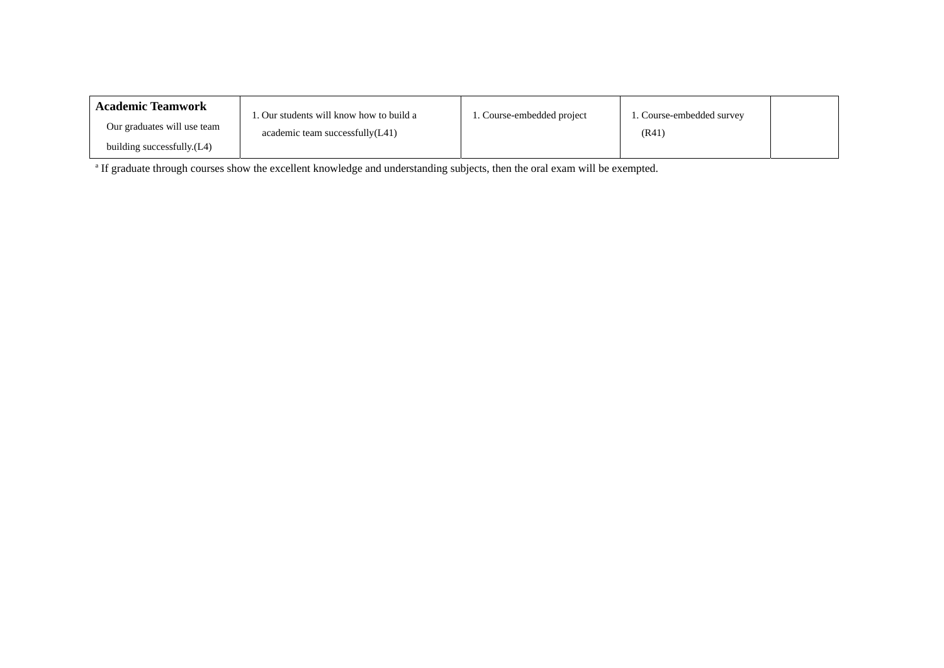| <b>Academic Teamwork</b>    | . Our students will know how to build a | . Course-embedded project | 1. Course-embedded survey |  |
|-----------------------------|-----------------------------------------|---------------------------|---------------------------|--|
| Our graduates will use team | academic team successfully(L41)         |                           | (R41)                     |  |
| building successfully.(L4)  |                                         |                           |                           |  |

<sup>a</sup> If graduate through courses show the excellent knowledge and understanding subjects, then the oral exam will be exempted.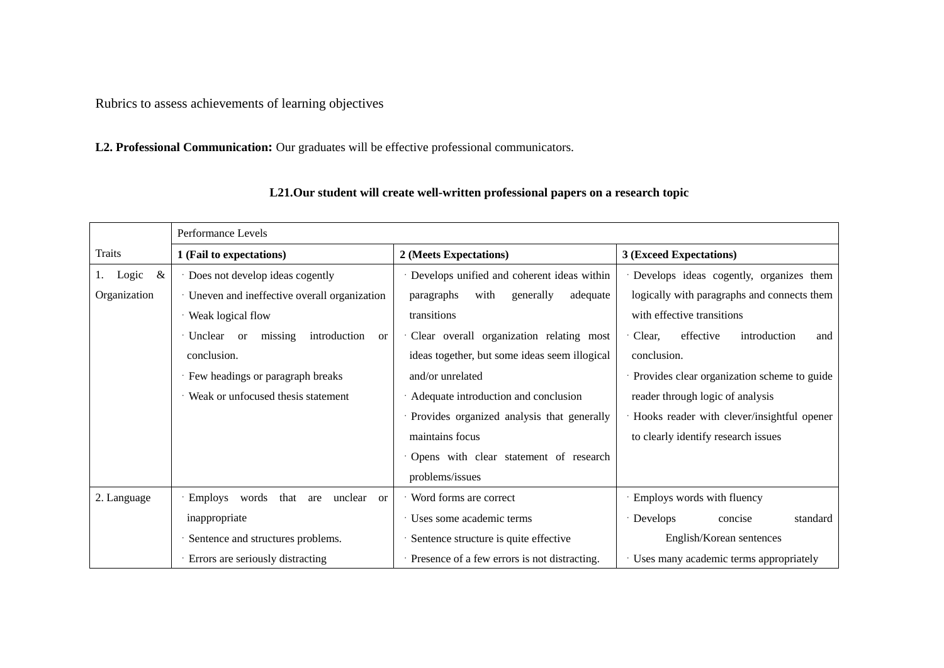Rubrics to assess achievements of learning objectives

**L2. Professional Communication:** Our graduates will be effective professional communicators.

|              | Performance Levels                                                  |                                               |                                               |
|--------------|---------------------------------------------------------------------|-----------------------------------------------|-----------------------------------------------|
| Traits       | 1 (Fail to expectations)                                            | 2 (Meets Expectations)                        | 3 (Exceed Expectations)                       |
| &<br>Logic   | · Does not develop ideas cogently                                   | Develops unified and coherent ideas within    | Develops ideas cogently, organizes them       |
| Organization | · Uneven and ineffective overall organization                       | with<br>adequate<br>paragraphs<br>generally   | logically with paragraphs and connects them   |
|              | · Weak logical flow                                                 | transitions                                   | with effective transitions                    |
|              | missing<br>· Unclear<br>introduction<br><sub>or</sub><br><b>or</b>  | Clear overall organization relating most      | effective<br>Clear,<br>introduction<br>and    |
|              | conclusion.                                                         | ideas together, but some ideas seem illogical | conclusion.                                   |
|              | · Few headings or paragraph breaks                                  | and/or unrelated                              | · Provides clear organization scheme to guide |
|              | Weak or unfocused thesis statement                                  | Adequate introduction and conclusion          | reader through logic of analysis              |
|              |                                                                     | Provides organized analysis that generally    | Hooks reader with clever/insightful opener    |
|              |                                                                     | maintains focus                               | to clearly identify research issues           |
|              |                                                                     | Opens with clear statement of research        |                                               |
|              |                                                                     | problems/issues                               |                                               |
| 2. Language  | that<br>unclear<br>$\cdot$ Employs<br>words<br>are<br><sub>or</sub> | Word forms are correct                        | · Employs words with fluency                  |
|              | inappropriate                                                       | Uses some academic terms                      | · Develops<br>concise<br>standard             |
|              | Sentence and structures problems.                                   | Sentence structure is quite effective         | English/Korean sentences                      |
|              | · Errors are seriously distracting                                  | Presence of a few errors is not distracting.  | Uses many academic terms appropriately        |

### **L21.Our student will create well-written professional papers on a research topic**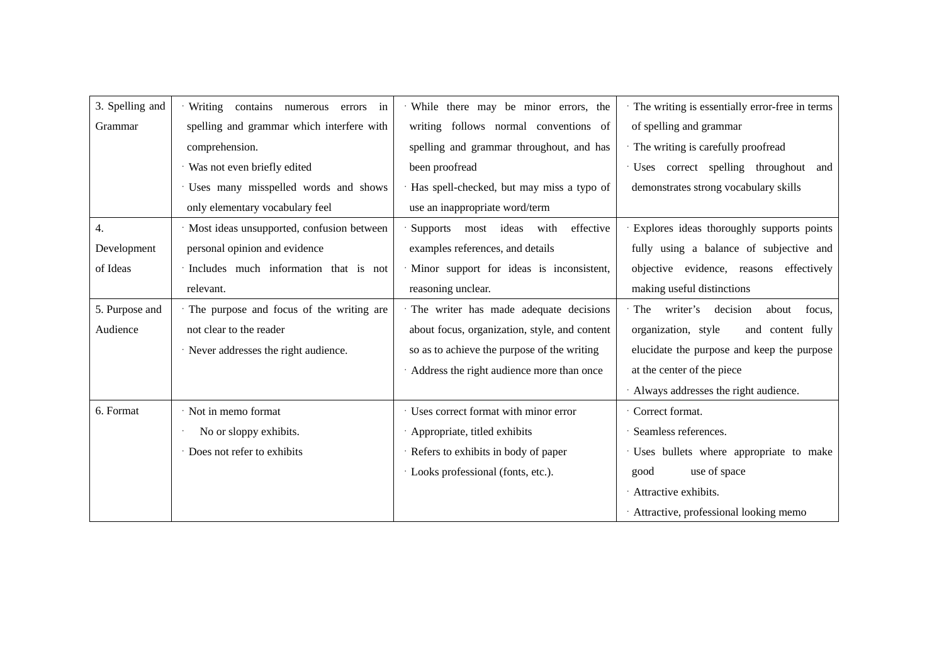| 3. Spelling and | · Writing contains<br>numerous<br>errors<br>in | While there may be minor errors, the          | The writing is essentially error-free in terms |
|-----------------|------------------------------------------------|-----------------------------------------------|------------------------------------------------|
| Grammar         | spelling and grammar which interfere with      | writing follows normal conventions of         | of spelling and grammar                        |
|                 | comprehension.                                 | spelling and grammar throughout, and has      | · The writing is carefully proofread           |
|                 | · Was not even briefly edited                  | been proofread                                | · Uses correct spelling throughout and         |
|                 | · Uses many misspelled words and shows         | Has spell-checked, but may miss a typo of     | demonstrates strong vocabulary skills          |
|                 | only elementary vocabulary feel                | use an inappropriate word/term                |                                                |
| 4.              | · Most ideas unsupported, confusion between    | effective<br>Supports most ideas<br>with      | · Explores ideas thoroughly supports points    |
| Development     | personal opinion and evidence                  | examples references, and details              | fully using a balance of subjective and        |
| of Ideas        | · Includes much information that is not        | · Minor support for ideas is inconsistent,    | objective evidence, reasons effectively        |
|                 | relevant.                                      | reasoning unclear.                            | making useful distinctions                     |
| 5. Purpose and  | The purpose and focus of the writing are       | The writer has made adequate decisions        | decision<br>The writer's<br>about<br>focus.    |
| Audience        | not clear to the reader                        | about focus, organization, style, and content | organization, style<br>and content fully       |
|                 | · Never addresses the right audience.          | so as to achieve the purpose of the writing   | elucidate the purpose and keep the purpose     |
|                 |                                                | Address the right audience more than once     | at the center of the piece                     |
|                 |                                                |                                               | · Always addresses the right audience.         |
| 6. Format       | · Not in memo format                           | · Uses correct format with minor error        | Correct format.                                |
|                 | No or sloppy exhibits.                         | Appropriate, titled exhibits                  | Seamless references.                           |
|                 | · Does not refer to exhibits                   | · Refers to exhibits in body of paper         | · Uses bullets where appropriate to make       |
|                 |                                                | · Looks professional (fonts, etc.).           | use of space<br>good                           |
|                 |                                                |                                               | · Attractive exhibits.                         |
|                 |                                                |                                               | · Attractive, professional looking memo        |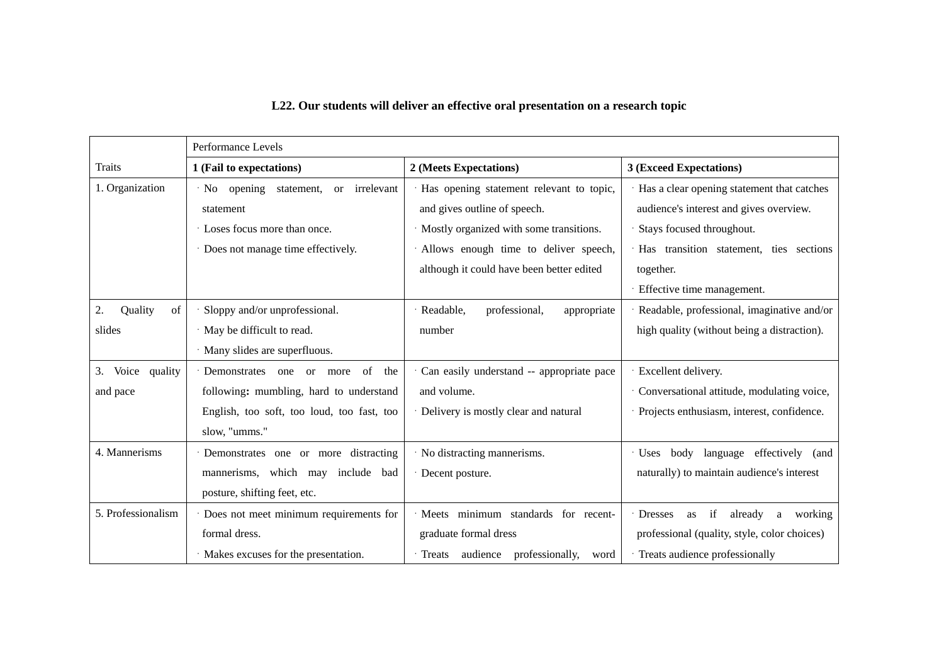|                     | Performance Levels                         |                                           |                                                       |
|---------------------|--------------------------------------------|-------------------------------------------|-------------------------------------------------------|
| <b>Traits</b>       | 1 (Fail to expectations)                   | 2 (Meets Expectations)                    | 3 (Exceed Expectations)                               |
| 1. Organization     | · No opening statement,<br>or irrelevant   | Has opening statement relevant to topic,  | Has a clear opening statement that catches            |
|                     | statement                                  | and gives outline of speech.              | audience's interest and gives overview.               |
|                     | Loses focus more than once.                | Mostly organized with some transitions.   | Stays focused throughout.                             |
|                     | · Does not manage time effectively.        | Allows enough time to deliver speech,     | Has transition statement, ties sections               |
|                     |                                            | although it could have been better edited | together.                                             |
|                     |                                            |                                           | Effective time management.                            |
| 2.<br>Quality<br>of | Sloppy and/or unprofessional.              | Readable,<br>professional,<br>appropriate | Readable, professional, imaginative and/or            |
| slides              | · May be difficult to read.                | number                                    | high quality (without being a distraction).           |
|                     | · Many slides are superfluous.             |                                           |                                                       |
| Voice quality<br>3. | · Demonstrates one or more<br>of the       | Can easily understand -- appropriate pace | Excellent delivery.                                   |
| and pace            | following: mumbling, hard to understand    | and volume.                               | Conversational attitude, modulating voice,            |
|                     | English, too soft, too loud, too fast, too | Delivery is mostly clear and natural      | Projects enthusiasm, interest, confidence.            |
|                     | slow, "umms."                              |                                           |                                                       |
| 4. Mannerisms       | · Demonstrates one or more distracting     | No distracting mannerisms.                | Uses body language effectively (and                   |
|                     | mannerisms, which may include bad          | Decent posture.                           | naturally) to maintain audience's interest            |
|                     | posture, shifting feet, etc.               |                                           |                                                       |
| 5. Professionalism  | · Does not meet minimum requirements for   | Meets minimum standards for recent-       | <b>Dresses</b><br>if<br>already<br>a<br>working<br>as |
|                     | formal dress.                              | graduate formal dress                     | professional (quality, style, color choices)          |
|                     | · Makes excuses for the presentation.      | · Treats audience professionally,<br>word | Treats audience professionally                        |

# **L22. Our students will deliver an effective oral presentation on a research topic**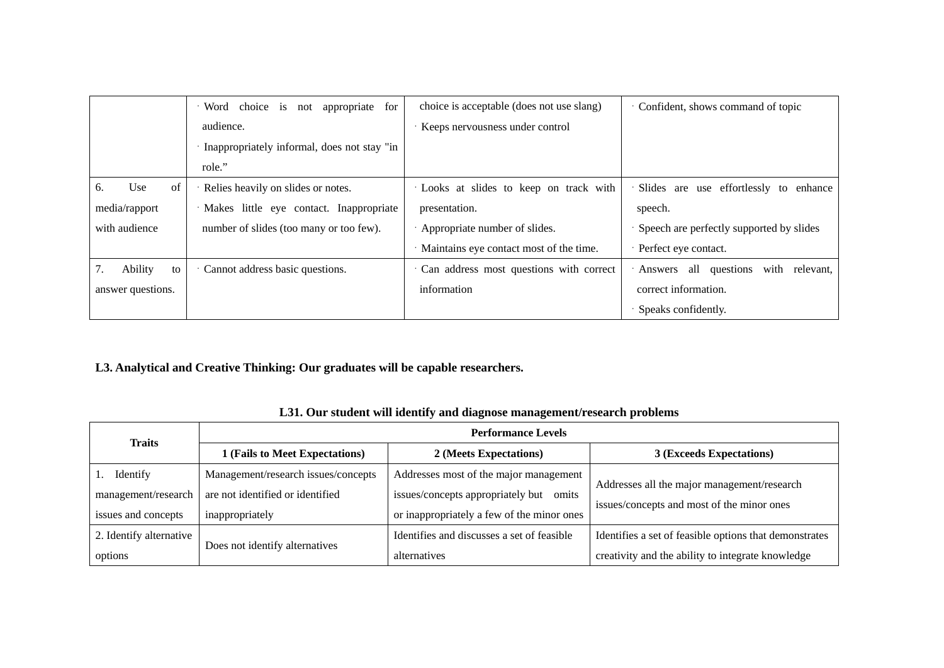|                   | choice is<br>· Word<br>appropriate<br>for<br>not | choice is acceptable (does not use slang) | Confident, shows command of topic               |
|-------------------|--------------------------------------------------|-------------------------------------------|-------------------------------------------------|
|                   | audience.                                        | Keeps nervousness under control           |                                                 |
|                   | Inappropriately informal, does not stay "in      |                                           |                                                 |
|                   | role."                                           |                                           |                                                 |
| Use<br>of<br>6.   | Relies heavily on slides or notes.               | Looks at slides to keep on track with     | Slides are use effortlessly<br>enhance<br>to    |
| media/rapport     | · Makes little eye contact. Inappropriate        | presentation.                             | speech.                                         |
| with audience     | number of slides (too many or too few).          | Appropriate number of slides.             | Speech are perfectly supported by slides        |
|                   |                                                  | · Maintains eye contact most of the time. | Perfect eye contact.                            |
| Ability<br>to     | Cannot address basic questions.                  | Can address most questions with correct   | all questions<br>with<br>· Answers<br>relevant, |
| answer questions. |                                                  | information                               | correct information.                            |
|                   |                                                  |                                           | Speaks confidently.                             |

**L3. Analytical and Creative Thinking: Our graduates will be capable researchers.** 

| <b>Traits</b>           | <b>Performance Levels</b>           |                                            |                                                        |
|-------------------------|-------------------------------------|--------------------------------------------|--------------------------------------------------------|
|                         | 1 (Fails to Meet Expectations)      | 2 (Meets Expectations)                     | 3 (Exceeds Expectations)                               |
| Identify                | Management/research issues/concepts | Addresses most of the major management     | Addresses all the major management/research            |
| management/research     | are not identified or identified    | issues/concepts appropriately but omits    |                                                        |
| issues and concepts     | inappropriately                     | or inappropriately a few of the minor ones | issues/concepts and most of the minor ones             |
| 2. Identify alternative |                                     | Identifies and discusses a set of feasible | Identifies a set of feasible options that demonstrates |
| options                 | Does not identify alternatives      | alternatives                               | creativity and the ability to integrate knowledge      |

#### **L31. Our student will identify and diagnose management/research problems**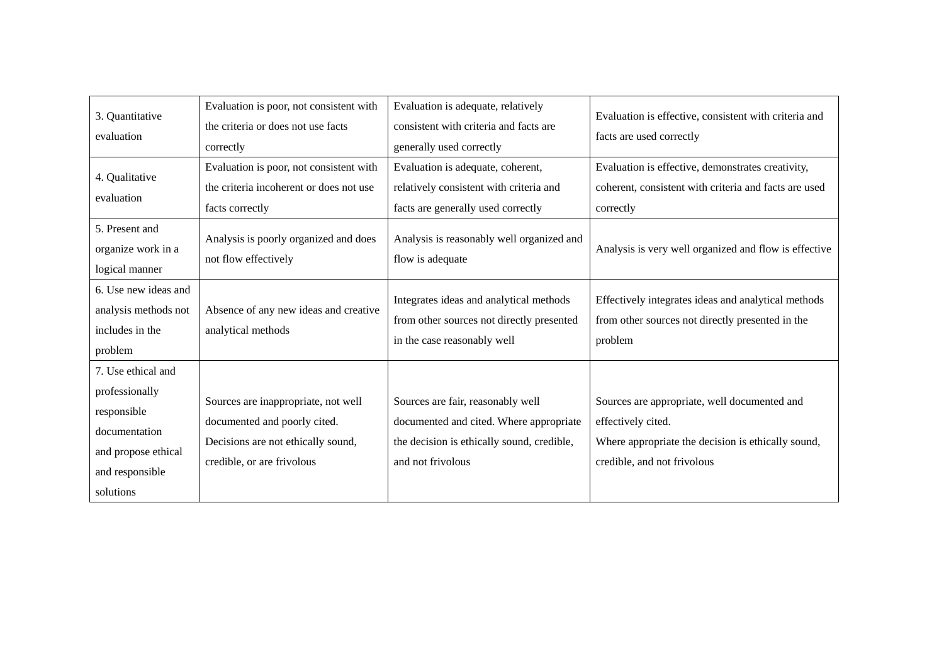| 3. Quantitative<br>evaluation                                                                                               | Evaluation is poor, not consistent with<br>the criteria or does not use facts<br>correctly                                              | Evaluation is adequate, relatively<br>consistent with criteria and facts are<br>generally used correctly                                        | Evaluation is effective, consistent with criteria and<br>facts are used correctly                                                                       |
|-----------------------------------------------------------------------------------------------------------------------------|-----------------------------------------------------------------------------------------------------------------------------------------|-------------------------------------------------------------------------------------------------------------------------------------------------|---------------------------------------------------------------------------------------------------------------------------------------------------------|
| 4. Qualitative<br>evaluation                                                                                                | Evaluation is poor, not consistent with<br>the criteria incoherent or does not use<br>facts correctly                                   | Evaluation is adequate, coherent,<br>relatively consistent with criteria and<br>facts are generally used correctly                              | Evaluation is effective, demonstrates creativity,<br>coherent, consistent with criteria and facts are used<br>correctly                                 |
| 5. Present and<br>organize work in a<br>logical manner                                                                      | Analysis is poorly organized and does<br>not flow effectively                                                                           | Analysis is reasonably well organized and<br>flow is adequate                                                                                   | Analysis is very well organized and flow is effective                                                                                                   |
| 6. Use new ideas and<br>analysis methods not<br>includes in the<br>problem                                                  | Absence of any new ideas and creative<br>analytical methods                                                                             | Integrates ideas and analytical methods<br>from other sources not directly presented<br>in the case reasonably well                             | Effectively integrates ideas and analytical methods<br>from other sources not directly presented in the<br>problem                                      |
| 7. Use ethical and<br>professionally<br>responsible<br>documentation<br>and propose ethical<br>and responsible<br>solutions | Sources are inappropriate, not well<br>documented and poorly cited.<br>Decisions are not ethically sound,<br>credible, or are frivolous | Sources are fair, reasonably well<br>documented and cited. Where appropriate<br>the decision is ethically sound, credible,<br>and not frivolous | Sources are appropriate, well documented and<br>effectively cited.<br>Where appropriate the decision is ethically sound,<br>credible, and not frivolous |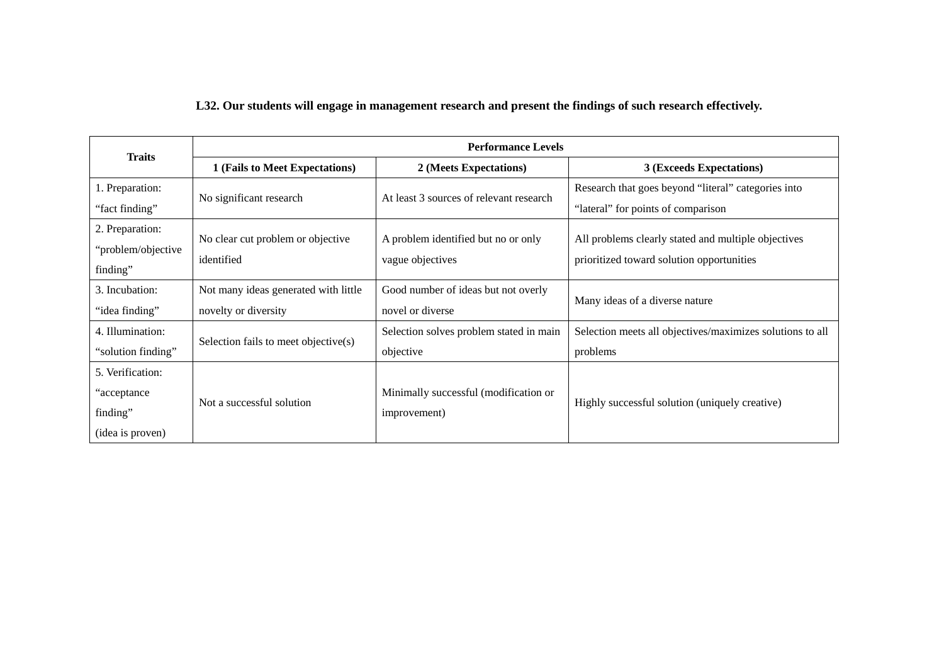### **L32. Our students will engage in management research and present the findings of such research effectively.**

| <b>Traits</b>                                            | <b>Performance Levels</b>            |                                         |                                                           |
|----------------------------------------------------------|--------------------------------------|-----------------------------------------|-----------------------------------------------------------|
| 1 (Fails to Meet Expectations)<br>2 (Meets Expectations) |                                      | 3 (Exceeds Expectations)                |                                                           |
| 1. Preparation:                                          |                                      | At least 3 sources of relevant research | Research that goes beyond "literal" categories into       |
| "fact finding"                                           | No significant research              |                                         | "lateral" for points of comparison                        |
| 2. Preparation:                                          |                                      |                                         |                                                           |
| "problem/objective                                       | No clear cut problem or objective    | A problem identified but no or only     | All problems clearly stated and multiple objectives       |
| finding"                                                 | identified                           | vague objectives                        | prioritized toward solution opportunities                 |
| 3. Incubation:                                           | Not many ideas generated with little | Good number of ideas but not overly     |                                                           |
| "idea finding"                                           | novelty or diversity                 | novel or diverse                        | Many ideas of a diverse nature                            |
| 4. Illumination:                                         |                                      | Selection solves problem stated in main | Selection meets all objectives/maximizes solutions to all |
| "solution finding"                                       | Selection fails to meet objective(s) | objective                               | problems                                                  |
| 5. Verification:                                         |                                      |                                         |                                                           |
| "acceptance"                                             |                                      | Minimally successful (modification or   |                                                           |
| finding"                                                 | Not a successful solution            | improvement)                            | Highly successful solution (uniquely creative)            |
| (idea is proven)                                         |                                      |                                         |                                                           |